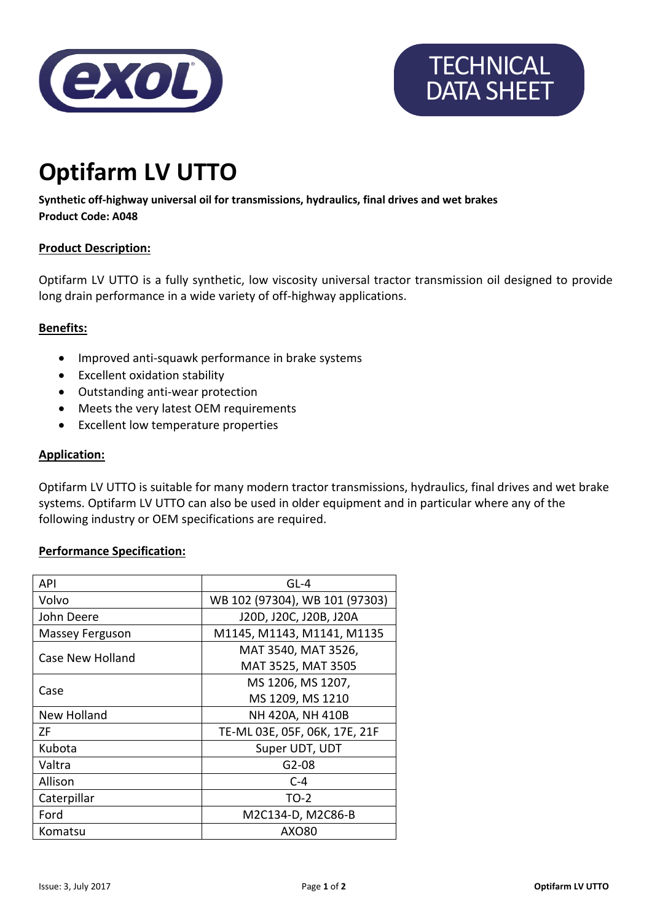



# **Optifarm LV UTTO**

**Synthetic off-highway universal oil for transmissions, hydraulics, final drives and wet brakes Product Code: A048**

# **Product Description:**

Optifarm LV UTTO is a fully synthetic, low viscosity universal tractor transmission oil designed to provide long drain performance in a wide variety of off-highway applications.

# **Benefits:**

- Improved anti-squawk performance in brake systems
- Excellent oxidation stability
- Outstanding anti-wear protection
- Meets the very latest OEM requirements
- Excellent low temperature properties

#### **Application:**

Optifarm LV UTTO is suitable for many modern tractor transmissions, hydraulics, final drives and wet brake systems. Optifarm LV UTTO can also be used in older equipment and in particular where any of the following industry or OEM specifications are required.

# **Performance Specification:**

| API              | $GL-4$                         |
|------------------|--------------------------------|
| Volvo            | WB 102 (97304), WB 101 (97303) |
| John Deere       | J20D, J20C, J20B, J20A         |
| Massey Ferguson  | M1145, M1143, M1141, M1135     |
| Case New Holland | MAT 3540, MAT 3526,            |
|                  | MAT 3525, MAT 3505             |
| Case             | MS 1206, MS 1207,              |
|                  | MS 1209, MS 1210               |
| New Holland      | NH 420A, NH 410B               |
| ΖF               | TE-ML 03E, 05F, 06K, 17E, 21F  |
| Kubota           | Super UDT, UDT                 |
| Valtra           | $G2-08$                        |
| Allison          | $C-4$                          |
| Caterpillar      | $TO-2$                         |
| Ford             | M2C134-D, M2C86-B              |
| Komatsu          | AX080                          |